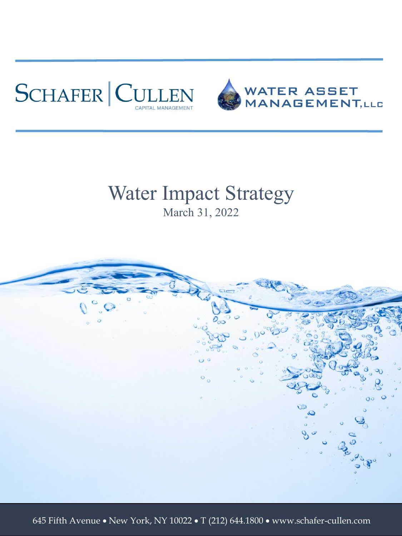



#### Water Impact Strategy March 31, 2022



645 Fifth Avenue • New York, NY 10022 • T (212) 644.1800 • www.schafer-cullen.com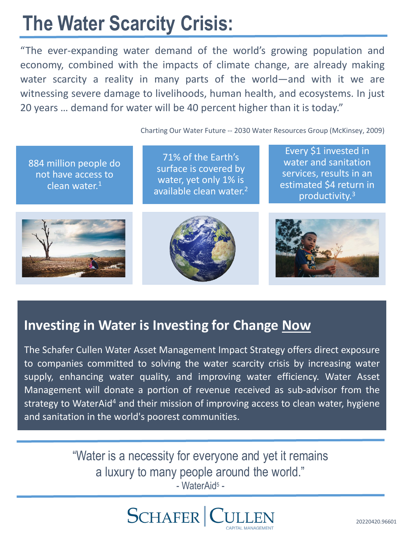## **The Water Scarcity Crisis:**

"The ever-expanding water demand of the world's growing population and economy, combined with the impacts of climate change, are already making water scarcity a reality in many parts of the world—and with it we are witnessing severe damage to livelihoods, human health, and ecosystems. In just 20 years … demand for water will be 40 percent higher than it is today."

Charting Our Water Future -- 2030 Water Resources Group (McKinsey, 2009)

884 million people do not have access to clean water. $1$ 

71% of the Earth's surface is covered by water, yet only 1% is available clean water.<sup>2</sup>

Every \$1 invested in water and sanitation services, results in an estimated \$4 return in productivity.3







#### **Investing in Water is Investing for Change Now**

The Schafer Cullen Water Asset Management Impact Strategy offers direct exposure to companies committed to solving the water scarcity crisis by increasing water supply, enhancing water quality, and improving water efficiency. Water Asset Management will donate a portion of revenue received as sub-advisor from the strategy to WaterAid<sup>4</sup> and their mission of improving access to clean water, hygiene and sanitation in the world's poorest communities.

> "Water is a necessity for everyone and yet it remains a luxury to many people around the world." - WaterAid5 -

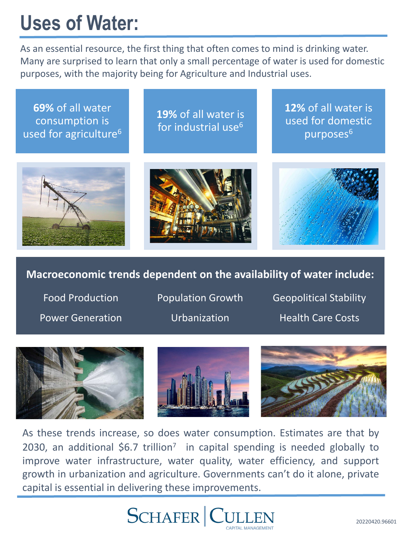## **Uses of Water:**

As an essential resource, the first thing that often comes to mind is drinking water. Many are surprised to learn that only a small percentage of water is used for domestic purposes, with the majority being for Agriculture and Industrial uses.

**69%** of all water consumption is used for agriculture<sup>6</sup>

**19%** of all water is for industrial use<sup>6</sup> **12%** of all water is used for domestic purposes<sup>6</sup>







#### **Macroeconomic trends dependent on the availability of water include:**

Food Production Power Generation Population Growth Urbanization

Geopolitical Stability Health Care Costs







As these trends increase, so does water consumption. Estimates are that by 2030, an additional \$6.7 trillion<sup>7</sup> in capital spending is needed globally to improve water infrastructure, water quality, water efficiency, and support growth in urbanization and agriculture. Governments can't do it alone, private capital is essential in delivering these improvements.

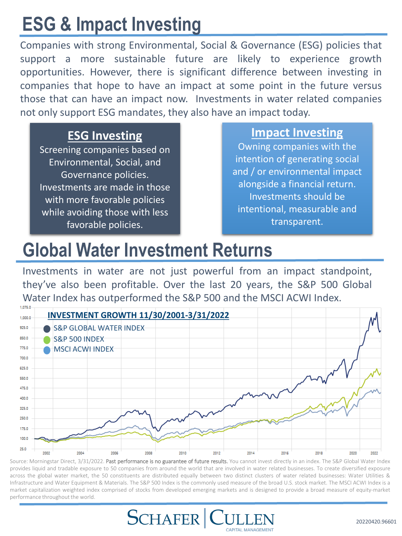## **ESG & Impact Investing**

Companies with strong Environmental, Social & Governance (ESG) policies that support a more sustainable future are likely to experience growth opportunities. However, there is significant difference between investing in companies that hope to have an impact at some point in the future versus those that can have an impact now. Investments in water related companies not only support ESG mandates, they also have an impact today.

#### **ESG Investing**

Screening companies based on Environmental, Social, and Governance policies. Investments are made in those with more favorable policies while avoiding those with less favorable policies.

#### **Impact Investing**

Owning companies with the intention of generating social and / or environmental impact alongside a financial return. Investments should be intentional, measurable and transparent.

#### **Global Water Investment Returns**

Investments in water are not just powerful from an impact standpoint, they've also been profitable. Over the last 20 years, the S&P 500 Global Water Index has outperformed the S&P 500 and the MSCI ACWI Index.



Source: Morningstar Direct, 3/31/2022. Past performance is no guarantee of future results. You cannot invest directly in an index. The S&P Global Water Index provides liquid and tradable exposure to 50 companies from around the world that are involved in water related businesses. To create diversified exposure across the global water market, the 50 constituents are distributed equally between two distinct clusters of water related businesses: Water Utilities & Infrastructure and Water Equipment & Materials. The S&P 500 Index is the commonly used measure of the broad U.S. stock market. The MSCI ACWI Index is a market capitalization weighted index comprised of stocks from developed emerging markets and is designed to provide a broad measure of equity-market performance throughout the world.

CAPITAL MANAGEMENT

**SCHAFER** | C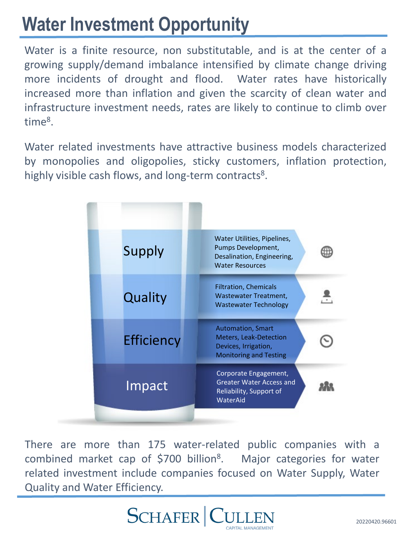## **Water Investment Opportunity**

Water is a finite resource, non substitutable, and is at the center of a growing supply/demand imbalance intensified by climate change driving more incidents of drought and flood. Water rates have historically increased more than inflation and given the scarcity of clean water and infrastructure investment needs, rates are likely to continue to climb over time8.

Water related investments have attractive business models characterized by monopolies and oligopolies, sticky customers, inflation protection, highly visible cash flows, and long-term contracts<sup>8</sup>.

| Water Utilities, Pipelines,<br>Pumps Development,<br>Desalination, Engineering,<br><b>Water Resources</b>          |
|--------------------------------------------------------------------------------------------------------------------|
| <b>Filtration, Chemicals</b><br>Wastewater Treatment,<br><b>Wastewater Technology</b>                              |
| <b>Automation, Smart</b><br><b>Meters, Leak-Detection</b><br>Devices, Irrigation,<br><b>Monitoring and Testing</b> |
| Corporate Engagement,<br><b>Greater Water Access and</b><br>Reliability, Support of<br>WaterAid                    |
|                                                                                                                    |

There are more than 175 water-related public companies with a combined market cap of \$700 billion<sup>8</sup>. Major categories for water related investment include companies focused on Water Supply, Water Quality and Water Efficiency.

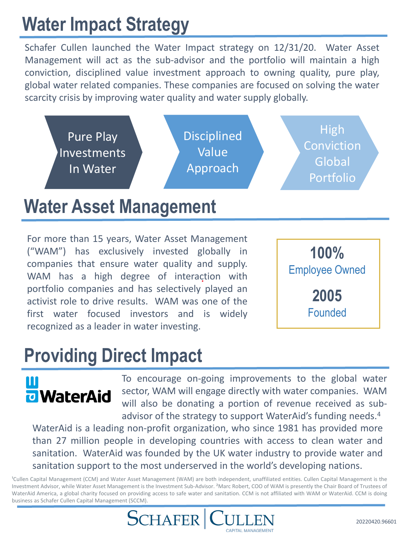## **Water Impact Strategy**

Schafer Cullen launched the Water Impact strategy on 12/31/20. Water Asset Management will act as the sub-advisor and the portfolio will maintain a high conviction, disciplined value investment approach to owning quality, pure play, global water related companies. These companies are focused on solving the water scarcity crisis by improving water quality and water supply globally.



#### **Water Asset Management**

For more than 15 years, Water Asset Management ("WAM") has exclusively invested globally in companies that ensure water quality and supply. WAM has a high degree of interaction with portfolio companies and has selectively played an activist role to drive results. WAM was one of the first water focused investors and is widely recognized as a leader in water investing.



#### **Providing Direct Impact**

# **u** WaterAid

To encourage on-going improvements to the global water sector, WAM will engage directly with water companies. WAM will also be donating a portion of revenue received as subadvisor of the strategy to support WaterAid's funding needs.<sup>4</sup>

WaterAid is a leading non-profit organization, who since 1981 has provided more than 27 million people in developing countries with access to clean water and sanitation. WaterAid was founded by the UK water industry to provide water and sanitation support to the most underserved in the world's developing nations.

<sup>1</sup>Cullen Capital Management (CCM) and Water Asset Management (WAM) are both independent, unaffiliated entities. Cullen Capital Management is the Investment Advisor, while Water Asset Management is the Investment Sub-Advisor. <sup>2</sup>Marc Robert, COO of WAM is presently the Chair Board of Trustees of WaterAid America, a global charity focused on providing access to safe water and sanitation. CCM is not affiliated with WAM or WaterAid. CCM is doing business as Schafer Cullen Capital Management (SCCM).

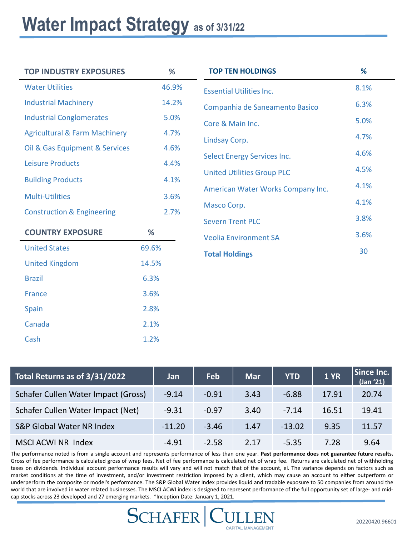#### Water Impact Strategy as of 3/31/22

Cash 1.2%

| <b>TOP INDUSTRY EXPOSURES</b>            | %     | <b>TOP TEN HOLDINGS</b>            |
|------------------------------------------|-------|------------------------------------|
| <b>Water Utilities</b>                   | 46.9% | <b>Essential Utilities Inc.</b>    |
| <b>Industrial Machinery</b>              | 14.2% | Companhia de Saneamento Basico     |
| <b>Industrial Conglomerates</b>          | 5.0%  | Core & Main Inc.                   |
| <b>Agricultural &amp; Farm Machinery</b> | 4.7%  | Lindsay Corp.                      |
| Oil & Gas Equipment & Services           | 4.6%  | <b>Select Energy Services Inc.</b> |
| <b>Leisure Products</b>                  | 4.4%  |                                    |
| <b>Building Products</b>                 | 4.1%  | <b>United Utilities Group PLC</b>  |
| <b>Multi-Utilities</b>                   | 3.6%  | American Water Works Company Inc.  |
| <b>Construction &amp; Engineering</b>    | 2.7%  | Masco Corp.                        |
|                                          |       | <b>Severn Trent PLC</b>            |
| <b>COUNTRY EXPOSURE</b>                  | %     | <b>Veolia Environment SA</b>       |
| <b>United States</b>                     | 69.6% | <b>Total Holdings</b>              |
| <b>United Kingdom</b>                    | 14.5% |                                    |
| <b>Brazil</b>                            | 6.3%  |                                    |
| <b>France</b>                            | 3.6%  |                                    |
| Spain                                    | 2.8%  |                                    |
| Canada                                   | 2.1%  |                                    |

| Total Returns as of 3/31/2022       | Jan      | <b>Feb</b> | <b>Mar</b> | <b>YTD</b> | <b>1 YR</b> | Since Inc.<br>(Jan '21) |
|-------------------------------------|----------|------------|------------|------------|-------------|-------------------------|
| Schafer Cullen Water Impact (Gross) | $-9.14$  | $-0.91$    | 3.43       | $-6.88$    | 17.91       | 20.74                   |
| Schafer Cullen Water Impact (Net)   | $-9.31$  | $-0.97$    | 3.40       | $-7.14$    | 16.51       | 19.41                   |
| S&P Global Water NR Index           | $-11.20$ | $-3.46$    | 1.47       | $-13.02$   | 9.35        | 11.57                   |
| MSCI ACWI NR Index                  | $-4.91$  | $-2.58$    | 2.17       | $-5.35$    | 7.28        | 9.64                    |

The performance noted is from a single account and represents performance of less than one year. **Past performance does not guarantee future results.** Gross of fee performance is calculated gross of wrap fees. Net of fee performance is calculated net of wrap fee. Returns are calculated net of withholding taxes on dividends. Individual account performance results will vary and will not match that of the account, el. The variance depends on factors such as market conditions at the time of investment, and/or investment restriction imposed by a client, which may cause an account to either outperform or underperform the composite or model's performance. The S&P Global Water Index provides liquid and tradable exposure to 50 companies from around the world that are involved in water related businesses. The MSCI ACWI index is designed to represent performance of the full opportunity set of large- and midcap stocks across 23 developed and 27 emerging markets. \*Inception Date: January 1, 2021.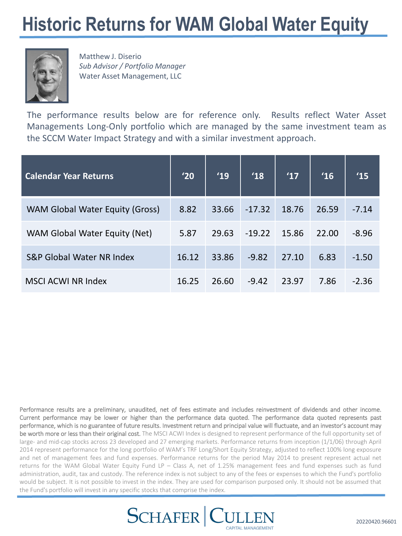#### **Historic Returns for WAM Global Water Equity**



Matthew J. Diserio *Sub Advisor / Portfolio Manager*  Water Asset Management, LLC

The performance results below are for reference only. Results reflect Water Asset Managements Long-Only portfolio which are managed by the same investment team as the SCCM Water Impact Strategy and with a similar investment approach.

| <b>Calendar Year Returns</b>         | '20   | '19   | '18      | '17   | '16   | 15      |
|--------------------------------------|-------|-------|----------|-------|-------|---------|
| WAM Global Water Equity (Gross)      | 8.82  | 33.66 | $-17.32$ | 18.76 | 26.59 | $-7.14$ |
| WAM Global Water Equity (Net)        | 5.87  | 29.63 | $-19.22$ | 15.86 | 22.00 | $-8.96$ |
| <b>S&amp;P Global Water NR Index</b> | 16.12 | 33.86 | $-9.82$  | 27.10 | 6.83  | $-1.50$ |
| <b>MSCI ACWI NR Index</b>            | 16.25 | 26.60 | $-9.42$  | 23.97 | 7.86  | $-2.36$ |

Performance results are a preliminary, unaudited, net of fees estimate and includes reinvestment of dividends and other income. Current performance may be lower or higher than the performance data quoted. The performance data quoted represents past performance, which is no guarantee of future results. Investment return and principal value will fluctuate, and an investor's account may be worth more or less than their original cost. The MSCI ACWI Index is designed to represent performance of the full opportunity set of large- and mid-cap stocks across 23 developed and 27 emerging markets. Performance returns from inception (1/1/06) through April 2014 represent performance for the long portfolio of WAM's TRF Long/Short Equity Strategy, adjusted to reflect 100% long exposure and net of management fees and fund expenses. Performance returns for the period May 2014 to present represent actual net returns for the WAM Global Water Equity Fund LP – Class A, net of 1.25% management fees and fund expenses such as fund administration, audit, tax and custody. The reference index is not subject to any of the fees or expenses to which the Fund's portfolio would be subject. It is not possible to invest in the index. They are used for comparison purposed only. It should not be assumed that the Fund's portfolio will invest in any specific stocks that comprise the index.